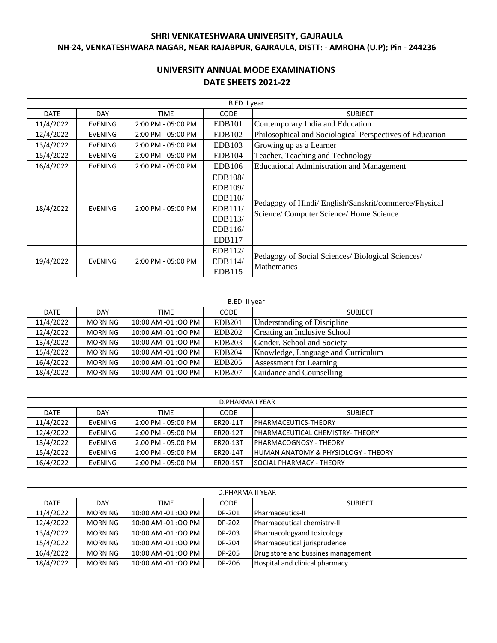# **SHRI VENKATESHWARA UNIVERSITY, GAJRAULA NH-24, VENKATESHWARA NAGAR, NEAR RAJABPUR, GAJRAULA, DISTT: - AMROHA (U.P); Pin - 244236**

# **UNIVERSITY ANNUAL MODE EXAMINATIONS DATE SHEETS 2021-22**

|             |                |                    | B.ED. I year                                                             |                                                                                                  |
|-------------|----------------|--------------------|--------------------------------------------------------------------------|--------------------------------------------------------------------------------------------------|
| <b>DATE</b> | <b>DAY</b>     | <b>TIME</b>        | <b>CODE</b>                                                              | <b>SUBJECT</b>                                                                                   |
| 11/4/2022   | <b>EVENING</b> | 2:00 PM - 05:00 PM | EDB <sub>101</sub>                                                       | Contemporary India and Education                                                                 |
| 12/4/2022   | <b>EVENING</b> | 2:00 PM - 05:00 PM | EDB102                                                                   | Philosophical and Sociological Perspectives of Education                                         |
| 13/4/2022   | <b>EVENING</b> | 2:00 PM - 05:00 PM | EDB103                                                                   | Growing up as a Learner                                                                          |
| 15/4/2022   | <b>EVENING</b> | 2:00 PM - 05:00 PM | EDB104                                                                   | Teacher, Teaching and Technology                                                                 |
| 16/4/2022   | <b>EVENING</b> | 2:00 PM - 05:00 PM | <b>EDB106</b>                                                            | <b>Educational Administration and Management</b>                                                 |
| 18/4/2022   | <b>EVENING</b> | 2:00 PM - 05:00 PM | EDB108/<br>EDB109/<br>EDB110/<br>EDB111/<br>EDB113/<br>EDB116/<br>EDB117 | Pedagogy of Hindi/ English/Sanskrit/commerce/Physical<br>Science/ Computer Science/ Home Science |
| 19/4/2022   | <b>EVENING</b> | 2:00 PM - 05:00 PM | EDB112/<br>EDB114/<br>EDB115                                             | Pedagogy of Social Sciences/ Biological Sciences/<br><b>Mathematics</b>                          |

|             | B.ED. II year  |                    |               |                                    |  |  |  |  |
|-------------|----------------|--------------------|---------------|------------------------------------|--|--|--|--|
| <b>DATE</b> | <b>DAY</b>     | <b>TIME</b>        | <b>CODE</b>   | <b>SUBJECT</b>                     |  |  |  |  |
| 11/4/2022   | <b>MORNING</b> | 10:00 AM -01:00 PM | <b>EDB201</b> | <b>Understanding of Discipline</b> |  |  |  |  |
| 12/4/2022   | <b>MORNING</b> | 10:00 AM -01:00 PM | <b>EDB202</b> | Creating an Inclusive School       |  |  |  |  |
| 13/4/2022   | <b>MORNING</b> | 10:00 AM -01:00 PM | <b>EDB203</b> | Gender, School and Society         |  |  |  |  |
| 15/4/2022   | <b>MORNING</b> | 10:00 AM -01:00 PM | <b>EDB204</b> | Knowledge, Language and Curriculum |  |  |  |  |
| 16/4/2022   | <b>MORNING</b> | 10:00 AM -01:00 PM | <b>EDB205</b> | <b>Assessment for Learning</b>     |  |  |  |  |
| 18/4/2022   | <b>MORNING</b> | 10:00 AM -01:00 PM | <b>EDB207</b> | Guidance and Counselling           |  |  |  |  |

|             | D.PHARMA I YEAR |                      |             |                                                 |  |  |  |
|-------------|-----------------|----------------------|-------------|-------------------------------------------------|--|--|--|
| <b>DATE</b> | DAY             | TIME                 | <b>CODE</b> | <b>SUBJECT</b>                                  |  |  |  |
| 11/4/2022   | EVENING         | $2:00$ PM - 05:00 PM | ER20-11T    | PHARMACEUTICS-THEORY                            |  |  |  |
| 12/4/2022   | <b>EVENING</b>  | $2:00$ PM - 05:00 PM | ER20-12T    | <b>IPHARMACEUTICAL CHEMISTRY-THEORY</b>         |  |  |  |
| 13/4/2022   | <b>EVENING</b>  | $2:00$ PM - 05:00 PM | ER20-13T    | <b>IPHARMACOGNOSY - THEORY</b>                  |  |  |  |
| 15/4/2022   | <b>EVENING</b>  | $2:00$ PM - 05:00 PM | ER20-14T    | <b>IHUMAN ANATOMY &amp; PHYSIOLOGY - THEORY</b> |  |  |  |
| 16/4/2022   | <b>EVENING</b>  | $2:00$ PM - 05:00 PM | ER20-15T    | <b>ISOCIAL PHARMACY - THEORY</b>                |  |  |  |

|             | D.PHARMA II YEAR |                    |             |                                    |  |  |  |
|-------------|------------------|--------------------|-------------|------------------------------------|--|--|--|
| <b>DATE</b> | <b>DAY</b>       | <b>TIME</b>        | <b>CODE</b> | <b>SUBJECT</b>                     |  |  |  |
| 11/4/2022   | <b>MORNING</b>   | 10:00 AM -01:00 PM | DP-201      | Pharmaceutics-II                   |  |  |  |
| 12/4/2022   | <b>MORNING</b>   | 10:00 AM -01:00 PM | DP-202      | Pharmaceutical chemistry-II        |  |  |  |
| 13/4/2022   | <b>MORNING</b>   | 10:00 AM -01:00 PM | DP-203      | Pharmacologyand toxicology         |  |  |  |
| 15/4/2022   | <b>MORNING</b>   | 10:00 AM -01:00 PM | DP-204      | Pharmaceutical jurisprudence       |  |  |  |
| 16/4/2022   | <b>MORNING</b>   | 10:00 AM -01:00 PM | DP-205      | Drug store and bussines management |  |  |  |
| 18/4/2022   | <b>MORNING</b>   | 10:00 AM -01:00 PM | DP-206      | Hospital and clinical pharmacy     |  |  |  |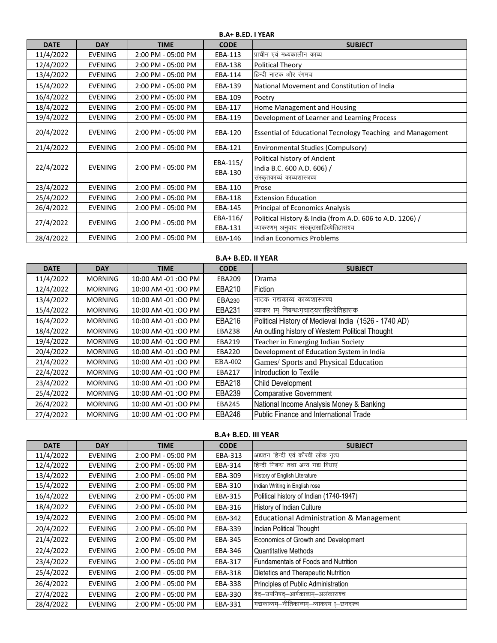**B.A+ B.ED. I YEAR**

| <b>DATE</b> | <b>DAY</b>     | <b>TIME</b>        | <b>CODE</b>         | <b>SUBJECT</b>                                                                                       |
|-------------|----------------|--------------------|---------------------|------------------------------------------------------------------------------------------------------|
| 11/4/2022   | <b>EVENING</b> | 2:00 PM - 05:00 PM | EBA-113             | प्राचीन एवं मध्यकालीन काव्य                                                                          |
| 12/4/2022   | <b>EVENING</b> | 2:00 PM - 05:00 PM | EBA-138             | Political Theory                                                                                     |
| 13/4/2022   | <b>EVENING</b> | 2:00 PM - 05:00 PM | EBA-114             | हिन्दी नाटक और रंगमच                                                                                 |
| 15/4/2022   | <b>EVENING</b> | 2:00 PM - 05:00 PM | EBA-139             | National Movement and Constitution of India                                                          |
| 16/4/2022   | <b>EVENING</b> | 2:00 PM - 05:00 PM | EBA-109             | Poetry                                                                                               |
| 18/4/2022   | <b>EVENING</b> | 2:00 PM - 05:00 PM | EBA-117             | Home Management and Housing                                                                          |
| 19/4/2022   | <b>EVENING</b> | 2:00 PM - 05:00 PM | EBA-119             | Development of Learner and Learning Process                                                          |
| 20/4/2022   | <b>EVENING</b> | 2:00 PM - 05:00 PM | EBA-120             | <b>Essential of Educational Tecnology Teaching and Management</b>                                    |
| 21/4/2022   | <b>EVENING</b> | 2:00 PM - 05:00 PM | EBA-121             | Environmental Studies (Compulsory)                                                                   |
| 22/4/2022   | <b>EVENING</b> | 2:00 PM - 05:00 PM | EBA-115/<br>EBA-130 | Political history of Ancient<br>India B.C. 600 A.D. 606) /<br>संस्कृतकाव्यं काव्यशास्त्रच्च          |
| 23/4/2022   | <b>EVENING</b> | 2:00 PM - 05:00 PM | EBA-110             | Prose                                                                                                |
| 25/4/2022   | <b>EVENING</b> | 2:00 PM - 05:00 PM | EBA-118             | <b>Extension Education</b>                                                                           |
| 26/4/2022   | <b>EVENING</b> | 2:00 PM - 05:00 PM | EBA-145             | Principal of Economics Analysis                                                                      |
| 27/4/2022   | <b>EVENING</b> | 2:00 PM - 05:00 PM | EBA-116/<br>EBA-131 | Political History & India (from A.D. 606 to A.D. 1206) /<br>व्याकरणम् अनुवाद संस्कृतसाहित्येतिहासश्च |
| 28/4/2022   | <b>EVENING</b> | 2:00 PM - 05:00 PM | EBA-146             | Indian Economics Problems                                                                            |
|             |                |                    |                     |                                                                                                      |

| <b>DATE</b> | <b>DAY</b>     | <b>TIME</b>         | <b>CODE</b>   | <b>SUBJECT</b>                                       |
|-------------|----------------|---------------------|---------------|------------------------------------------------------|
| 11/4/2022   | <b>MORNING</b> | 10:00 AM -01:00 PM  | <b>EBA209</b> | Drama                                                |
| 12/4/2022   | <b>MORNING</b> | 10:00 AM -01:00 PM  | EBA210        | Fiction                                              |
| 13/4/2022   | <b>MORNING</b> | 10:00 AM -01:00 PM  | EBA230        | नाटक गद्यकाव्य काव्यशास्त्रच्च                       |
| 15/4/2022   | <b>MORNING</b> | 10:00 AM -01:00 PM  | <b>EBA231</b> | व्याकर ाम् निबन्धःगचाट्यसाहित्येतिहासक               |
| 16/4/2022   | <b>MORNING</b> | 10:00 AM -01:00 PM  | <b>EBA216</b> | Political History of Medieval India (1526 - 1740 AD) |
| 18/4/2022   | <b>MORNING</b> | 10:00 AM -01:00 PM  | <b>EBA238</b> | An outling history of Western Political Thought      |
| 19/4/2022   | <b>MORNING</b> | 10:00 AM -01:00 PM  | EBA219        | Teacher in Emerging Indian Society                   |
| 20/4/2022   | <b>MORNING</b> | 10:00 AM -01:00 PM  | <b>EBA220</b> | Development of Education System in India             |
| 21/4/2022   | <b>MORNING</b> | 10:00 AM -01:00 PM  | EBA-002       | Games/ Sports and Physical Education                 |
| 22/4/2022   | <b>MORNING</b> | 10:00 AM -01:00 PM  | EBA217        | Introduction to Textile                              |
| 23/4/2022   | <b>MORNING</b> | 10:00 AM -01 :00 PM | EBA218        | <b>Child Development</b>                             |
| 25/4/2022   | <b>MORNING</b> | 10:00 AM -01:00 PM  | EBA239        | <b>Comparative Government</b>                        |
| 26/4/2022   | <b>MORNING</b> | 10:00 AM -01:00 PM  | <b>EBA245</b> | National Income Analysis Money & Banking             |
| 27/4/2022   | <b>MORNING</b> | 10:00 AM -01:00 PM  | EBA246        | Public Finance and International Trade               |

**DATE DAY TIME CODE SUBJECT** 11/4/2022 | EVENING | 2:00 PM - 05:00 PM | EBA-313 |अद्यतन हिन्दी एवं कौरवी लोक नृत्य 12/4/2022 | EVENING | 2:00 PM - 05:00 PM | EBA-314 |हिन्दी निबन्ध तथा अन्य गद्य विधाएं 13/4/2022 EVENING 2:00 PM - 05:00 PM EBA-309 History of English Literature 15/4/2022 EVENING 2:00 PM - 05:00 PM EBA-310 Indian Writing in English rose 16/4/2022 EVENING 2:00 PM - 05:00 PM EBA-315 Political history of Indian (1740-1947) 18/4/2022 EVENING 2:00 PM - 05:00 PM EBA-316 History of Indian Culture 19/4/2022 EVENING 2:00 PM - 05:00 PM EBA-342 Educational Administration & Management 20/4/2022 EVENING 2:00 PM - 05:00 PM EBA-339 Indian Political Thought 21/4/2022 EVENING 2:00 PM - 05:00 PM EBA-345 Economics of Growth and Development 22/4/2022 | EVENING | 2:00 PM - 05:00 PM | EBA-346 Quantitative Methods 23/4/2022 EVENING 2:00 PM - 05:00 PM EBA-317 Fundamentals of Foods and Nutrition 25/4/2022 EVENING 2:00 PM - 05:00 PM EBA-318 Dietetics and Therapeutic Nutrition 26/4/2022 EVENING 2:00 PM - 05:00 PM EBA-338 Principles of Public Administration 27/4/2022 | EVENING 2:00 PM - 05:00 PM | EBA-330 | वेद-उपनिषद्-आर्षकाव्यम्-अलंकाराश्च  $28/4/2022$  | EVENING | 2:00 PM - 05:00 PM | EBA-331 गद्यकाव्यम्–नीतिकाव्यम्–व्याकरम [–छनदश्च **B.A+ B.ED. III YEAR**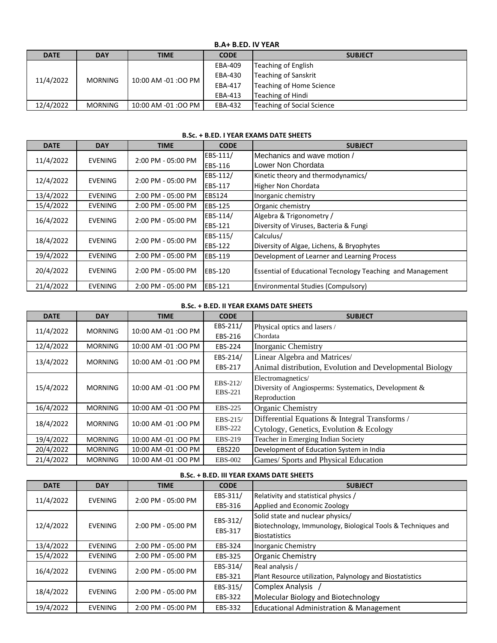## **B.A+ B.ED. IV YEAR**

| <b>DATE</b> | <b>DAY</b>     | <b>TIME</b>        | <b>CODE</b> | <b>SUBJECT</b>             |  |
|-------------|----------------|--------------------|-------------|----------------------------|--|
|             |                |                    | EBA-409     | Teaching of English        |  |
|             | <b>MORNING</b> | 10:00 AM -01:00 PM | EBA-430     | Teaching of Sanskrit       |  |
| 11/4/2022   |                |                    | EBA-417     | Teaching of Home Science   |  |
|             |                |                    | EBA-413     | Teaching of Hindi          |  |
| 12/4/2022   | <b>MORNING</b> | 10:00 AM -01:00 PM | EBA-432     | Teaching of Social Science |  |

#### **B.Sc. + B.ED. I YEAR EXAMS DATE SHEETS**

| <b>DATE</b> | <b>DAY</b>     | <b>TIME</b>        | <b>CODE</b>     | <b>SUBJECT</b>                                                    |
|-------------|----------------|--------------------|-----------------|-------------------------------------------------------------------|
| 11/4/2022   | <b>EVENING</b> | 2:00 PM - 05:00 PM | EBS-111/        | Mechanics and wave motion /                                       |
|             |                |                    | <b>EBS-116</b>  | Lower Non Chordata                                                |
| 12/4/2022   | <b>EVENING</b> | 2:00 PM - 05:00 PM | EBS-112/        | Kinetic theory and thermodynamics/                                |
|             |                |                    | <b>EBS-117</b>  | Higher Non Chordata                                               |
| 13/4/2022   | <b>EVENING</b> | 2:00 PM - 05:00 PM | EBS124          | Inorganic chemistry                                               |
| 15/4/2022   | <b>EVENING</b> | 2:00 PM - 05:00 PM | <b>IEBS-125</b> | Organic chemistry                                                 |
| 16/4/2022   | <b>EVENING</b> | 2:00 PM - 05:00 PM | EBS-114/        | Algebra & Trigonometry /                                          |
|             |                |                    | <b>EBS-121</b>  | Diversity of Viruses, Bacteria & Fungi                            |
|             | <b>EVENING</b> | 2:00 PM - 05:00 PM | EBS-115/        | Calculus/                                                         |
| 18/4/2022   |                |                    | <b>EBS-122</b>  | Diversity of Algae, Lichens, & Bryophytes                         |
| 19/4/2022   | <b>EVENING</b> | 2:00 PM - 05:00 PM | <b>IEBS-119</b> | Development of Learner and Learning Process                       |
| 20/4/2022   | <b>EVENING</b> | 2:00 PM - 05:00 PM | <b>EBS-120</b>  | <b>Essential of Educational Tecnology Teaching and Management</b> |
| 21/4/2022   | <b>EVENING</b> | 2:00 PM - 05:00 PM | <b>IEBS-121</b> | <b>Environmental Studies (Compulsory)</b>                         |

## **B.Sc. + B.ED. II YEAR EXAMS DATE SHEETS**

| <b>DATE</b> | <b>DAY</b>     | <b>TIME</b>        | <b>CODE</b>         | <b>SUBJECT</b>                                           |
|-------------|----------------|--------------------|---------------------|----------------------------------------------------------|
| 11/4/2022   | <b>MORNING</b> | 10:00 AM -01:00 PM | EBS-211/            | Physical optics and lasers /                             |
|             |                |                    | EBS-216             | Chordata                                                 |
| 12/4/2022   | <b>MORNING</b> | 10:00 AM -01:00 PM | EBS-224             | <b>Inorganic Chemistry</b>                               |
| 13/4/2022   | <b>MORNING</b> | 10:00 AM -01:00 PM | EBS-214/            | Linear Algebra and Matrices/                             |
|             |                |                    | EBS-217             | Animal distribution, Evolution and Developmental Biology |
|             |                |                    |                     | Electromagnetics/                                        |
| 15/4/2022   | <b>MORNING</b> | 10:00 AM -01:00 PM | EBS-212/<br>EBS-221 | Diversity of Angiosperms: Systematics, Development &     |
|             |                |                    |                     | Reproduction                                             |
| 16/4/2022   | <b>MORNING</b> | 10:00 AM -01:00 PM | EBS-225             | Organic Chemistry                                        |
|             |                | 10:00 AM -01:00 PM | EBS-215/            | Differential Equations & Integral Transforms /           |
| 18/4/2022   | <b>MORNING</b> |                    | EBS-222             | Cytology, Genetics, Evolution & Ecology                  |
| 19/4/2022   | <b>MORNING</b> | 10:00 AM -01:00 PM | EBS-219             | Teacher in Emerging Indian Society                       |
| 20/4/2022   | <b>MORNING</b> | 10:00 AM -01:00 PM | <b>EBS220</b>       | Development of Education System in India                 |
| 21/4/2022   | <b>MORNING</b> | 10:00 AM -01:00 PM | <b>EBS-002</b>      | Games/ Sports and Physical Education                     |

## **B.Sc. + B.ED. III YEAR EXAMS DATE SHEETS**

| <b>DATE</b> | <b>DAY</b>     | <b>TIME</b>        | <b>CODE</b> | <b>SUBJECT</b>                                               |
|-------------|----------------|--------------------|-------------|--------------------------------------------------------------|
| 11/4/2022   | <b>EVENING</b> | 2:00 PM - 05:00 PM | EBS-311/    | Relativity and statistical physics /                         |
|             |                |                    | EBS-316     | Applied and Economic Zoology                                 |
|             |                |                    | EBS-312/    | Solid state and nuclear physics/                             |
| 12/4/2022   | <b>EVENING</b> | 2:00 PM - 05:00 PM | EBS-317     | Biotechnology, Immunology, Biological Tools & Techniques and |
|             |                |                    |             | <b>Biostatistics</b>                                         |
| 13/4/2022   | <b>EVENING</b> | 2:00 PM - 05:00 PM | EBS-324     | Inorganic Chemistry                                          |
| 15/4/2022   | <b>EVENING</b> | 2:00 PM - 05:00 PM | EBS-325     | <b>Organic Chemistry</b>                                     |
| 16/4/2022   | <b>EVENING</b> | 2:00 PM - 05:00 PM | EBS-314/    | Real analysis /                                              |
|             |                |                    | EBS-321     | Plant Resource utilization, Palynology and Biostatistics     |
| 18/4/2022   | <b>EVENING</b> | 2:00 PM - 05:00 PM | EBS-315/    | Complex Analysis /                                           |
|             |                |                    | EBS-322     | Molecular Biology and Biotechnology                          |
| 19/4/2022   | <b>EVENING</b> | 2:00 PM - 05:00 PM | EBS-332     | <b>Educational Administration &amp; Management</b>           |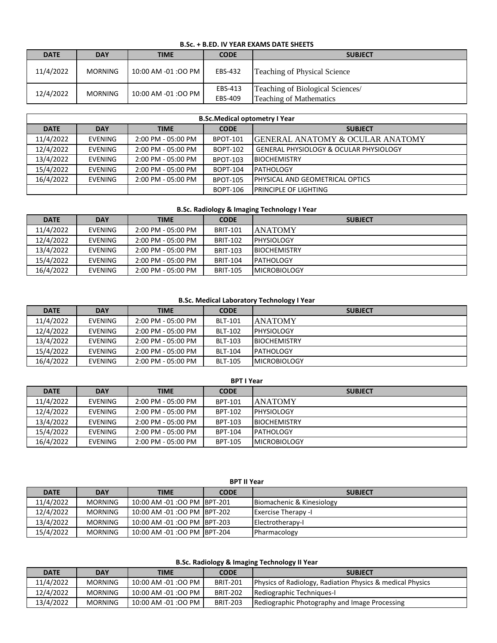### **B.Sc. + B.ED. IV YEAR EXAMS DATE SHEETS**

| <b>DATE</b> | <b>DAY</b>     | <b>TIME</b>          | <b>CODE</b>        | <b>SUBJECT</b>                                                     |
|-------------|----------------|----------------------|--------------------|--------------------------------------------------------------------|
| 11/4/2022   | <b>MORNING</b> | 10:00 AM -01:00 PM I | EBS-432            | Teaching of Physical Science                                       |
| 12/4/2022   | <b>MORNING</b> | 10:00 AM -01:00 PM   | EBS-413<br>EBS-409 | Teaching of Biological Sciences/<br><b>Teaching of Mathematics</b> |

| <b>B.Sc.Medical optometry I Year</b> |                |                        |                 |                                              |  |  |
|--------------------------------------|----------------|------------------------|-----------------|----------------------------------------------|--|--|
| <b>DATE</b>                          | <b>DAY</b>     | <b>TIME</b>            | <b>CODE</b>     | <b>SUBJECT</b>                               |  |  |
| 11/4/2022                            | <b>EVENING</b> | 2:00 PM - 05:00 PM     | <b>BPOT-101</b> | <b>IGENERAL ANATOMY &amp; OCULAR ANATOMY</b> |  |  |
| 12/4/2022                            | <b>EVENING</b> | $2:00$ PM - $05:00$ PM | <b>BOPT-102</b> | l GENERAL PHYSIOLOGY & OCULAR PHYSIOLOGY     |  |  |
| 13/4/2022                            | <b>EVENING</b> | $2:00$ PM - $05:00$ PM | <b>BPOT-103</b> | <b>BIOCHEMISTRY</b>                          |  |  |
| 15/4/2022                            | <b>EVENING</b> | $2:00$ PM - $05:00$ PM | <b>BOPT-104</b> | PATHOLOGY                                    |  |  |
| 16/4/2022                            | <b>EVENING</b> | $2:00$ PM - $05:00$ PM | <b>BPOT-105</b> | <b>IPHYSICAL AND GEOMETRICAL OPTICS</b>      |  |  |
|                                      |                |                        | BOPT-106        | <b>PRINCIPLE OF LIGHTING</b>                 |  |  |

## **B.Sc. Radiology & Imaging Technology I Year**

| <b>DATE</b> | <b>DAY</b>     | <b>TIME</b>          | <b>CODE</b>     | <b>SUBJECT</b>       |
|-------------|----------------|----------------------|-----------------|----------------------|
| 11/4/2022   | <b>EVENING</b> | $2:00$ PM - 05:00 PM | <b>BRIT-101</b> | <b>JANATOMY</b>      |
| 12/4/2022   | EVENING        | $2:00$ PM - 05:00 PM | <b>BRIT-102</b> | <b>IPHYSIOLOGY</b>   |
| 13/4/2022   | <b>EVENING</b> | $2:00$ PM - 05:00 PM | <b>BRIT-103</b> | <b>BIOCHEMISTRY</b>  |
| 15/4/2022   | <b>EVENING</b> | $2:00$ PM - 05:00 PM | <b>BRIT-104</b> | PATHOLOGY            |
| 16/4/2022   | <b>EVENING</b> | 2:00 PM - 05:00 PM   | <b>BRIT-105</b> | <b>IMICROBIOLOGY</b> |

### **B.Sc. Medical Laboratory Technology I Year**

| <b>DATE</b> | <b>DAY</b>     | TIME                   | <b>CODE</b>    | <b>SUBJECT</b>       |
|-------------|----------------|------------------------|----------------|----------------------|
| 11/4/2022   | <b>EVENING</b> | 2:00 PM - 05:00 PM     | <b>BLT-101</b> | <b>ANATOMY</b>       |
| 12/4/2022   | EVENING        | $2:00$ PM - $05:00$ PM | <b>BLT-102</b> | <b>PHYSIOLOGY</b>    |
| 13/4/2022   | <b>EVENING</b> | $2:00$ PM - 05:00 PM   | <b>BLT-103</b> | <b>IBIOCHEMISTRY</b> |
| 15/4/2022   | <b>EVENING</b> | 2:00 PM - 05:00 PM     | <b>BLT-104</b> | PATHOLOGY            |
| 16/4/2022   | <b>EVENING</b> | 2:00 PM - 05:00 PM     | <b>BLT-105</b> | <b>IMICROBIOLOGY</b> |

| <b>BPT I Year</b> |                |                        |                |                     |  |  |  |
|-------------------|----------------|------------------------|----------------|---------------------|--|--|--|
| <b>DATE</b>       | <b>DAY</b>     | <b>TIME</b>            | <b>CODE</b>    | <b>SUBJECT</b>      |  |  |  |
| 11/4/2022         | <b>EVENING</b> | $2:00$ PM - 05:00 PM   | <b>BPT-101</b> | <b>ANATOMY</b>      |  |  |  |
| 12/4/2022         | <b>EVENING</b> | 2:00 PM - 05:00 PM     | BPT-102        | <b>PHYSIOLOGY</b>   |  |  |  |
| 13/4/2022         | <b>EVENING</b> | $2:00$ PM - $05:00$ PM | BPT-103        | <b>BIOCHEMISTRY</b> |  |  |  |
| 15/4/2022         | <b>EVENING</b> | 2:00 PM - 05:00 PM     | BPT-104        | <b>PATHOLOGY</b>    |  |  |  |
| 16/4/2022         | <b>EVENING</b> | 2:00 PM - 05:00 PM     | <b>BPT-105</b> | <b>MICROBIOLOGY</b> |  |  |  |

| <b>BPT II Year</b> |                |                             |             |                             |  |  |  |
|--------------------|----------------|-----------------------------|-------------|-----------------------------|--|--|--|
| <b>DATE</b>        | <b>DAY</b>     | <b>TIME</b>                 | <b>CODE</b> | <b>SUBJECT</b>              |  |  |  |
| 11/4/2022          | MORNING        | 10:00 AM -01:00 PM BPT-201  |             | Biomachenic & Kinesiology   |  |  |  |
| 12/4/2022          | <b>MORNING</b> | 10:00 AM -01:00 PM IBPT-202 |             | <b>Exercise Therapy - I</b> |  |  |  |
| 13/4/2022          | <b>MORNING</b> | 10:00 AM -01:00 PM IBPT-203 |             | Electrotherapy-I            |  |  |  |
| 15/4/2022          | <b>MORNING</b> | 10:00 AM -01:00 PM IBPT-204 |             | Pharmacology                |  |  |  |

## **B.Sc. Radiology & Imaging Technology II Year**

| <b>DATE</b> | <b>DAY</b>     | <b>TIME</b>          | <b>CODE</b>     | <b>SUBJECT</b>                                                       |
|-------------|----------------|----------------------|-----------------|----------------------------------------------------------------------|
| 11/4/2022   | <b>MORNING</b> | 10:00 AM -01:00 PM   | <b>BRIT-201</b> | <b>Physics of Radiology, Radiation Physics &amp; medical Physics</b> |
| 12/4/2022   | <b>MORNING</b> | 10:00 AM -01:00 PM   | <b>BRIT-202</b> | Rediographic Techniques-I                                            |
| 13/4/2022   | <b>MORNING</b> | $10:00$ AM -01:00 PM | <b>BRIT-203</b> | Rediographic Photography and Image Processing                        |